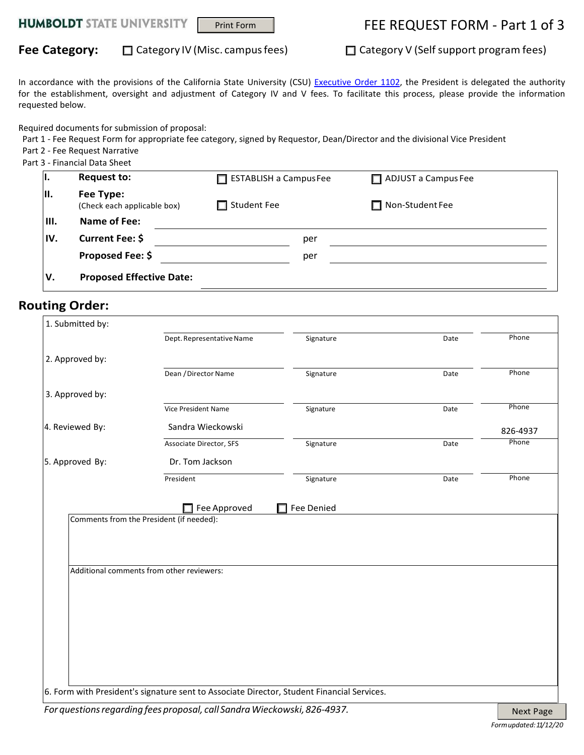# Print Form FEE REQUEST FORM - Part 1 of 3

## Fee Category:  $\Box$  Category IV (Misc. campus fees)  $\Box$  Category V (Self support program fees)

In accordance with the provisions of the California State University (CSU) [Executive Order 1102,](http://www.calstate.edu/EO/EO-1102.html) the President is delegated the authority for the establishment, oversight and adjustment of Category IV and V fees. To facilitate this process, please provide the information requested below.

Required documents for submission of proposal:

Part 1 - Fee Request Form for appropriate fee category, signed by Requestor, Dean/Director and the divisional Vice President

Part 2 - Fee Request Narrative

Part 3 - Financial Data Sheet

| ι.   | <b>Request to:</b>                       | $\Box$ ESTABLISH a Campus Fee | $\Box$ ADJUST a Campus Fee |
|------|------------------------------------------|-------------------------------|----------------------------|
| III. | Fee Type:<br>(Check each applicable box) | $\Box$ Student Fee            | $\Box$ Non-Student Fee     |
| III. | Name of Fee:                             |                               |                            |
| IV.  | Current Fee: \$                          | per                           |                            |
|      | Proposed Fee: \$                         | per                           |                            |
| v.   | <b>Proposed Effective Date:</b>          |                               |                            |

### **Routing Order:**

| 1. Submitted by: |                                                                                            |           |      |          |
|------------------|--------------------------------------------------------------------------------------------|-----------|------|----------|
|                  | Dept. Representative Name                                                                  | Signature | Date | Phone    |
| 2. Approved by:  |                                                                                            |           |      |          |
|                  | Dean / Director Name                                                                       | Signature | Date | Phone    |
| 3. Approved by:  |                                                                                            |           |      |          |
|                  | Vice President Name                                                                        | Signature | Date | Phone    |
| 4. Reviewed By:  | Sandra Wieckowski                                                                          |           |      | 826-4937 |
|                  | Associate Director, SFS                                                                    | Signature | Date | Phone    |
| 5. Approved By:  | Dr. Tom Jackson                                                                            |           |      |          |
|                  | President                                                                                  | Signature | Date | Phone    |
|                  |                                                                                            |           |      |          |
|                  | Additional comments from other reviewers:                                                  |           |      |          |
|                  |                                                                                            |           |      |          |
|                  |                                                                                            |           |      |          |
|                  |                                                                                            |           |      |          |
|                  |                                                                                            |           |      |          |
|                  |                                                                                            |           |      |          |
|                  |                                                                                            |           |      |          |
|                  | 6. Form with President's signature sent to Associate Director, Student Financial Services. |           |      |          |

*For questions regarding fees proposal, call Sandra Wieckowski, 826-4937.* Next Page Next Page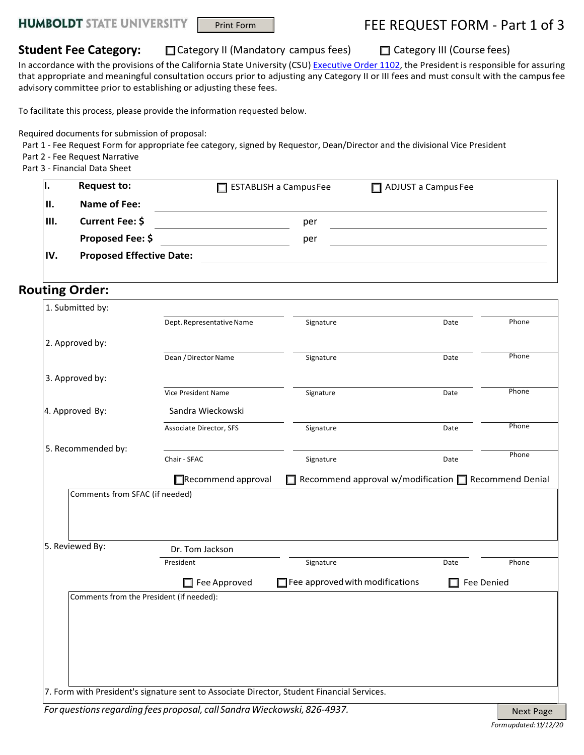# Print Form FEE REQUEST FORM - Part 1 of 3

**Student Fee Category:** □ Category II (Mandatory campus fees) □ Category III (Course fees)

In accordance with the provisions of the California State University (CSU) [Executive](http://www.calstate.edu/EO/EO-1102.html) [Order](http://www.calstate.edu/EO/EO-1102.html) [1102,](http://www.calstate.edu/EO/EO-1102.html) the President is responsible for assuring that appropriate and meaningful consultation occurs prior to adjusting any Category II or III fees and must consult with the campusfee advisory committee prior to establishing or adjusting these fees.

To facilitate this process, please provide the information requested below.

Required documents for submission of proposal:

Part 1 - Fee Request Form for appropriate fee category, signed by Requestor, Dean/Director and the divisional Vice President

Part 2 - Fee Request Narrative Part 3 - Financial Data Sheet

| н.   | <b>Request to:</b>              | $\Box$ ESTABLISH a Campus Fee | $\Box$ ADJUST a Campus Fee |
|------|---------------------------------|-------------------------------|----------------------------|
| П.   | Name of Fee:                    |                               |                            |
| III. | Current Fee: \$                 | per                           |                            |
|      | Proposed Fee: \$                | per                           |                            |
| IV.  | <b>Proposed Effective Date:</b> |                               |                            |

### **Routing Order:**

| 2. Approved by:<br>3. Approved by:       | Dept. Representative Name<br>Dean / Director Name<br>Vice President Name | Signature<br>Signature                 | Date<br>Date | Phone<br>Phone |
|------------------------------------------|--------------------------------------------------------------------------|----------------------------------------|--------------|----------------|
|                                          |                                                                          |                                        |              |                |
|                                          |                                                                          |                                        |              |                |
|                                          |                                                                          |                                        |              |                |
|                                          |                                                                          |                                        |              |                |
|                                          |                                                                          | Signature                              | Date         | Phone          |
| 4. Approved By:                          | Sandra Wieckowski                                                        |                                        |              |                |
|                                          | Associate Director, SFS                                                  | Signature                              | Date         | Phone          |
| 5. Recommended by:                       | Chair - SFAC                                                             |                                        | Date         | Phone          |
|                                          |                                                                          | Signature                              |              |                |
| Comments from SFAC (if needed)           |                                                                          |                                        |              |                |
| 5. Reviewed By:                          | Dr. Tom Jackson                                                          |                                        |              |                |
|                                          | President                                                                | Signature                              | Date         | Phone          |
|                                          | Fee Approved                                                             | $\Box$ Fee approved with modifications |              | Fee Denied     |
| Comments from the President (if needed): |                                                                          |                                        |              |                |
|                                          |                                                                          |                                        |              |                |
|                                          |                                                                          |                                        |              |                |
|                                          |                                                                          |                                        |              |                |
|                                          |                                                                          |                                        |              |                |
|                                          |                                                                          |                                        |              |                |
|                                          |                                                                          |                                        |              |                |
|                                          |                                                                          |                                        |              |                |

*For questions regarding fees proposal, call Sandra Wieckowski, 826-4937.* Next Page Next Page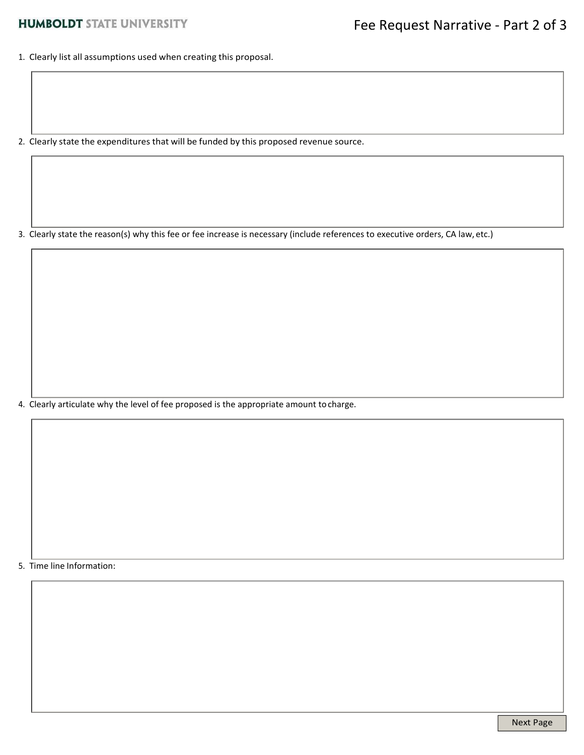1. Clearly list all assumptions used when creating this proposal.

2. Clearly state the expenditures that will be funded by this proposed revenue source.

3. Clearly state the reason(s) why this fee or fee increase is necessary (include references to executive orders, CA law, etc.)

4. Clearly articulate why the level of fee proposed is the appropriate amount tocharge.

5. Time line Information: